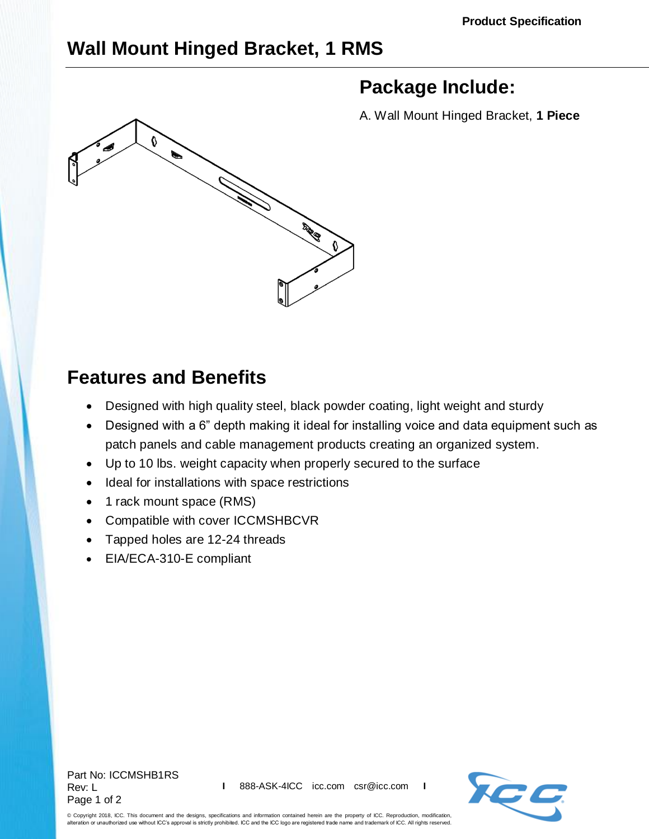## **Wall Mount Hinged Bracket, 1 RMS**

# **Package Include:**



A. Wall Mount Hinged Bracket, **1 Piece**

## **Features and Benefits**

- Designed with high quality steel, black powder coating, light weight and sturdy
- Designed with a 6" depth making it ideal for installing voice and data equipment such as patch panels and cable management products creating an organized system.
- Up to 10 lbs. weight capacity when properly secured to the surface
- Ideal for installations with space restrictions
- 1 rack mount space (RMS)
- Compatible with cover [ICCMSHBCVR](http://www.icc.com/p/444/wall-mount-bracket-hinged-cover)
- Tapped holes are 12-24 threads
- EIA/ECA-310-E compliant

Part No: ICCMSHB1RS Rev: L Page 1 of 2



© Copyright 2018, ICC. This document and the designs, specifications and information contained herein are the property of ICC. Reproduction, modification, alteration or unauthorized use without ICC's approval is strictly prohibited. ICC and the ICC logo are registered trade name and trademark of ICC. All rights reserved.